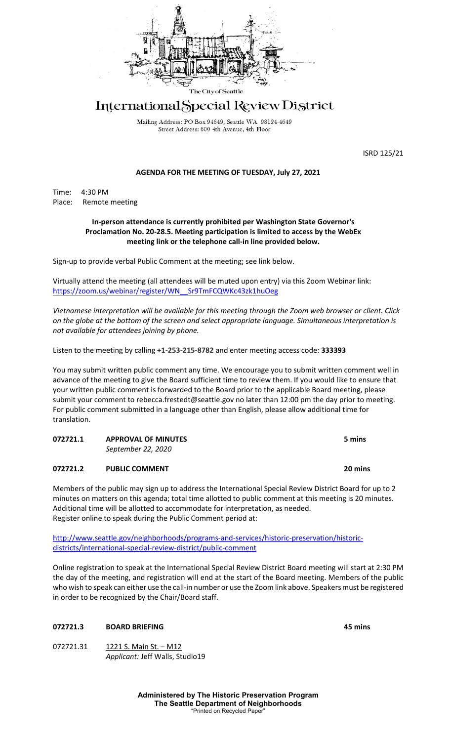

# International Special Review District

Mailing Address: PO Box 94649, Seattle WA 98124-4649 Street Address: 600 4th Avenue, 4th Floor

ISRD 125/21

## **AGENDA FOR THE MEETING OF TUESDAY, July 27, 2021**

Time: 4:30 PM Place: Remote meeting

### **In-person attendance is currently prohibited per Washington State Governor's Proclamation No. 20-28.5. Meeting participation is limited to access by the WebEx meeting link or the telephone call-in line provided below.**

Sign-up to provide verbal Public Comment at the meeting; see link below.

Virtually attend the meeting (all attendees will be muted upon entry) via this Zoom Webinar link: https://zoom.us/webinar/register/WN\_\_Sr9TmFCQWKc43zk1huOeg

*Vietnamese interpretation will be available for this meeting through the Zoom web browser or client. Click on the globe at the bottom of the screen and select appropriate language. Simultaneous interpretation is not available for attendees joining by phone.*

Listen to the meeting by calling **+1-253-215-8782** and enter meeting access code: **333393**

You may submit written public comment any time. We encourage you to submit written comment well in advance of the meeting to give the Board sufficient time to review them. If you would like to ensure that your written public comment is forwarded to the Board prior to the applicable Board meeting, please submit your comment to rebecca.frestedt@seattle.gov no later than 12:00 pm the day prior to meeting. For public comment submitted in a language other than English, please allow additional time for translation.

# **072721.1 APPROVAL OF MINUTES 5 mins**

*September 22, 2020*

## **072721.2 PUBLIC COMMENT 20 mins**

Members of the public may sign up to address the International Special Review District Board for up to 2 minutes on matters on this agenda; total time allotted to public comment at this meeting is 20 minutes. Additional time will be allotted to accommodate for interpretation, as needed. Register online to speak during the Public Comment period at:

[http://www.seattle.gov/neighborhoods/programs-and-services/historic-preservation/historic](http://www.seattle.gov/neighborhoods/programs-and-services/historic-preservation/historic-districts/international-special-review-district/public-comment)[districts/international-special-review-district/public-comment](http://www.seattle.gov/neighborhoods/programs-and-services/historic-preservation/historic-districts/international-special-review-district/public-comment)

Online registration to speak at the International Special Review District Board meeting will start at 2:30 PM the day of the meeting, and registration will end at the start of the Board meeting. Members of the public who wish to speak can either use the call-in number or use the Zoom link above. Speakers must be registered in order to be recognized by the Chair/Board staff.

## **072721.3 BOARD BRIEFING 45 mins**

072721.31 1221 S. Main St. – M12 *Applicant:* Jeff Walls, Studio19